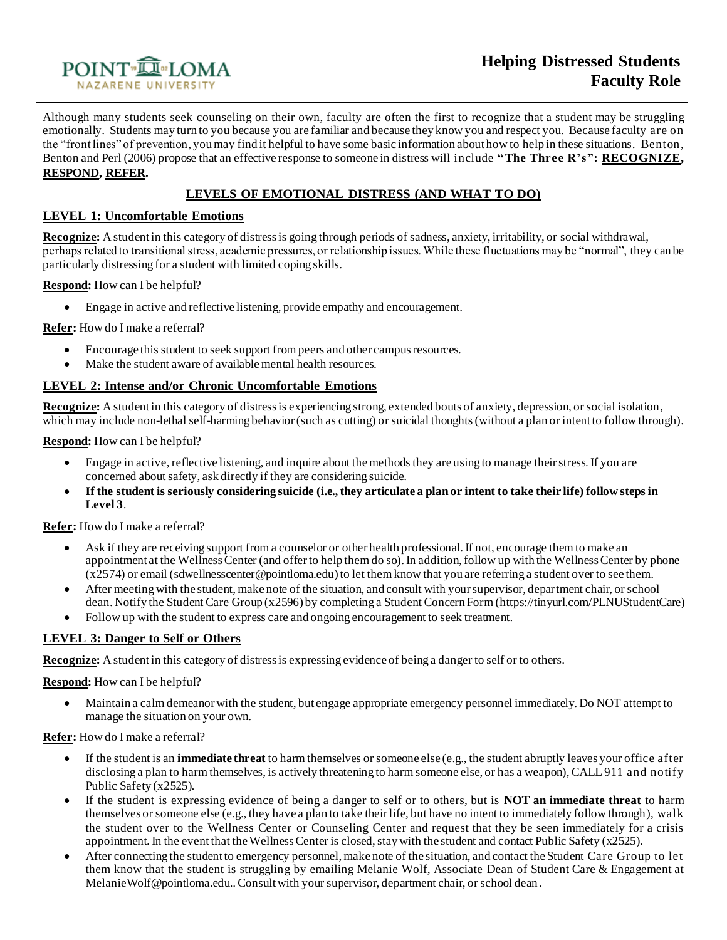

Although many students seek counseling on their own, faculty are often the first to recognize that a student may be struggling emotionally. Students may turn to you because you are familiar and because they know you and respect you. Because faculty are on the "front lines" of prevention, you may find it helpful to have some basic information about how to help in these situations. Benton, Benton and Perl (2006) propose that an effective response to someone in distress will include **"The Three R's": RECOGNIZE, RESPOND, REFER.**

# **LEVELS OF EMOTIONAL DISTRESS (AND WHAT TO DO)**

## **LEVEL 1: Uncomfortable Emotions**

**Recognize:** A student in this category of distress is going through periods of sadness, anxiety, irritability, or social withdrawal, perhaps related to transitional stress, academic pressures, or relationship issues. While these fluctuations may be "normal", they can be particularly distressing for a student with limited coping skills.

**Respond:** How can I be helpful?

• Engage in active and reflective listening, provide empathy and encouragement.

**Refer:** How do I make a referral?

- Encourage this student to seek support from peers and other campus resources.
- Make the student aware of available mental health resources.

# **LEVEL 2: Intense and/or Chronic Uncomfortable Emotions**

**Recognize:** A student in this category of distress is experiencing strong, extended bouts of anxiety, depression, or social isolation, which may include non-lethal self-harming behavior (such as cutting) or suicidal thoughts (without a plan or intent to follow through).

**Respond:** How can I be helpful?

- Engage in active, reflective listening, and inquire about the methods they are using to manage their stress. If you are concerned about safety, ask directly if they are considering suicide.
- **If the student is seriously considering suicide (i.e., they articulate a plan or intent to take their life) follow steps in Level 3**.

**Refer:** How do I make a referral?

- Ask if they are receiving support from a counselor or other health professional. If not, encourage them to make an appointment at the Wellness Center (and offer to help them do so). In addition, follow up with the Wellness Center by phone (x2574) or email [\(sdwellnesscenter@pointloma.edu\)](mailto:sdwellnesscenter@pointloma.edu) to let them know that you are referring a student over to see them.
- After meeting with the student, make note of the situation, and consult with your supervisor, department chair, or school dean. Notify the Student Care Group (x2596) by completing a [Student Concern Form](https://cm.maxient.com/reportingform.php?PointLoma&layout_id=0) (https://tinyurl.com/PLNUStudentCare)
- Follow up with the student to express care and ongoing encouragement to seek treatment.

#### **LEVEL 3: Danger to Self or Others**

**Recognize:** A student in this category of distress is expressing evidence of being a danger to self or to others.

**Respond:** How can I be helpful?

• Maintain a calm demeanor with the student, but engage appropriate emergency personnel immediately. Do NOT attempt to manage the situation on your own.

**Refer:** How do I make a referral?

- If the student is an **immediate threat** to harm themselves or someone else (e.g., the student abruptly leaves your office after disclosing a plan to harm themselves, is actively threatening to harm someone else, or has a weapon), CALL 911 and notify Public Safety (x2525).
- If the student is expressing evidence of being a danger to self or to others, but is **NOT an immediate threat** to harm themselves or someone else (e.g., they have a plan to take their life, but have no intent to immediately follow through), walk the student over to the Wellness Center or Counseling Center and request that they be seen immediately for a crisis appointment. In the event that the Wellness Center is closed, stay with the student and contact Public Safety (x2525).
- After connecting the student to emergency personnel, make note of the situation, and contact the Student Care Group to let them know that the student is struggling by emailing Melanie Wolf, Associate Dean of Student Care & Engagement at MelanieWolf@pointloma.edu.. Consult with your supervisor, department chair, or school dean.